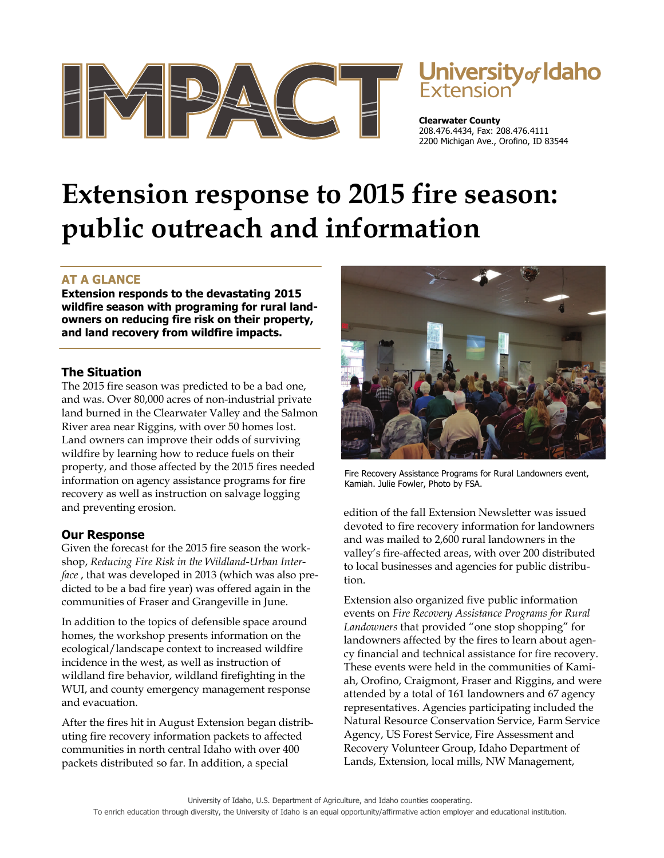

# **University of Idaho**<br>Extension

**Clearwater County**  208.476.4434, Fax: 208.476.4111 2200 Michigan Ave., Orofino, ID 83544

# **Extension response to 2015 fire season: public outreach and information**

## **AT A GLANCE**

**Extension responds to the devastating 2015 wildfire season with programing for rural landowners on reducing fire risk on their property, and land recovery from wildfire impacts.** 

#### **The Situation**

The 2015 fire season was predicted to be a bad one, and was. Over 80,000 acres of non-industrial private land burned in the Clearwater Valley and the Salmon River area near Riggins, with over 50 homes lost. Land owners can improve their odds of surviving wildfire by learning how to reduce fuels on their property, and those affected by the 2015 fires needed information on agency assistance programs for fire recovery as well as instruction on salvage logging and preventing erosion.

### **Our Response**

Given the forecast for the 2015 fire season the workshop, *Reducing Fire Risk in the Wildland-Urban Interface* , that was developed in 2013 (which was also predicted to be a bad fire year) was offered again in the communities of Fraser and Grangeville in June.

In addition to the topics of defensible space around homes, the workshop presents information on the ecological/landscape context to increased wildfire incidence in the west, as well as instruction of wildland fire behavior, wildland firefighting in the WUI, and county emergency management response and evacuation.

After the fires hit in August Extension began distributing fire recovery information packets to affected communities in north central Idaho with over 400 packets distributed so far. In addition, a special



Fire Recovery Assistance Programs for Rural Landowners event, Kamiah. Julie Fowler, Photo by FSA.

edition of the fall Extension Newsletter was issued devoted to fire recovery information for landowners and was mailed to 2,600 rural landowners in the valley's fire-affected areas, with over 200 distributed to local businesses and agencies for public distribution.

Extension also organized five public information events on *Fire Recovery Assistance Programs for Rural Landowners* that provided "one stop shopping" for landowners affected by the fires to learn about agency financial and technical assistance for fire recovery. These events were held in the communities of Kamiah, Orofino, Craigmont, Fraser and Riggins, and were attended by a total of 161 landowners and 67 agency representatives. Agencies participating included the Natural Resource Conservation Service, Farm Service Agency, US Forest Service, Fire Assessment and Recovery Volunteer Group, Idaho Department of Lands, Extension, local mills, NW Management,